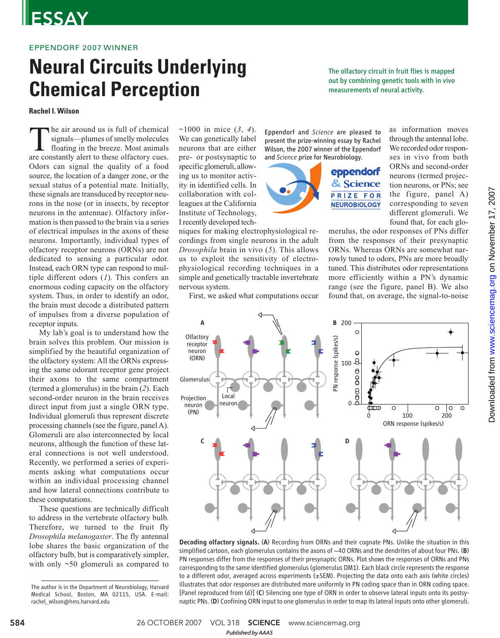# **ESSAY**

### EPPENDORF 2007 WINNER

# **Neural Circuits Underlying Chemical Perception**

**Rachel I. Wilson**

The air around us is full of chemical<br>signals—plumes of smelly molecules<br>floating in the breeze. Most animals<br>are constantly alert to these olfactory cues. he air around us is full of chemical signals—plumes of smelly molecules floating in the breeze. Most animals Odors can signal the quality of a food source, the location of a danger zone, or the sexual status of a potential mate. Initially, these signals are transduced by receptor neurons in the nose (or in insects, by receptor neurons in the antennae). Olfactory information is then passed to the brain via a series of electrical impulses in the axons of these neurons. Importantly, individual types of olfactory receptor neurons (ORNs) are not dedicated to sensing a particular odor. Instead, each ORN type can respond to multiple different odors (*1*). This confers an enormous coding capacity on the olfactory system. Thus, in order to identify an odor, the brain must decode a distributed pattern of impulses from a diverse population of receptor inputs.

My lab's goal is to understand how the brain solves this problem. Our mission is simplified by the beautiful organization of the olfactory system: All the ORNs expressing the same odorant receptor gene project their axons to the same compartment (termed a glomerulus) in the brain (*2*). Each second-order neuron in the brain receives direct input from just a single ORN type. Individual glomeruli thus represent discrete processing channels (see the figure, panel A). Glomeruli are also interconnected by local neurons, although the function of these lateral connections is not well understood. Recently, we performed a series of experiments asking what computations occur within an individual processing channel and how lateral connections contribute to these computations.

These questions are technically difficult to address in the vertebrate olfactory bulb. Therefore, we turned to the fruit fly *Drosophila melanogaster*. The fly antennal lobe shares the basic organization of the olfactory bulb, but is comparatively simpler, with only  $\sim 50$  glomeruli as compared to

~1000 in mice (*3*, *4*). We can genetically label neurons that are either pre- or postsynaptic to specific glomeruli, allowing us to monitor activity in identified cells. In collaboration with colleagues at the California Institute of Technology, I recently developed tech-

niques for making electrophysiological recordings from single neurons in the adult *Drosophila* brain in vivo (*5*). This allows us to exploit the sensitivity of electrophysiological recording techniques in a simple and genetically tractable invertebrate nervous system.

First, we asked what computations occur

Eppendorf and *Science* are pleased to present the prize-winning essay by Rachel Wilson, the 2007 winner of the Eppendorf



as information moves through the antennal lobe. We recorded odor responses in vivo from both ORNs and second-order neurons (termed projection neurons, or PNs; see the figure, panel A) corresponding to seven different glomeruli. We found that, for each glo-

merulus, the odor responses of PNs differ from the responses of their presynaptic ORNs. Whereas ORNs are somewhat narrowly tuned to odors, PNs are more broadly tuned. This distributes odor representations more efficiently within a PN's dynamic range (see the figure, panel B). We also found that, on average, the signal-to-noise

The olfactory circuit in fruit flies is mapped out by combining genetic tools with in vivo

measurements of neural activity.



Decoding olfactory signals. (A) Recording from ORNs and their cognate PNs. Unlike the situation in this simplified cartoon, each glomerulus contains the axons of  $\sim$ 40 ORNs and the dendrites of about four PNs. (B) PN responses differ from the responses of their presynaptic ORNs. Plot shows the responses of ORNs and PNs corresponding to the same identified glomerulus (glomerulus DM1). Each black circle represents the response to a different odor, averaged across experiments (±SEM). Projecting the data onto each axis (white circles) illustrates that odor responses are distributed more uniformly in PN coding space than in ORN coding space. [Panel reproduced from (*6*)] (C) Silencing one type of ORN in order to observe lateral inputs onto its postsynaptic PNs. (D) Confining ORN input to one glomerulus in order to map its lateral inputs onto other glomeruli.

The author is in the Department of Neurobiology, Harvard Medical School, Boston, MA 02115, USA. E-mail: rachel\_wilson@hms.harvard.edu